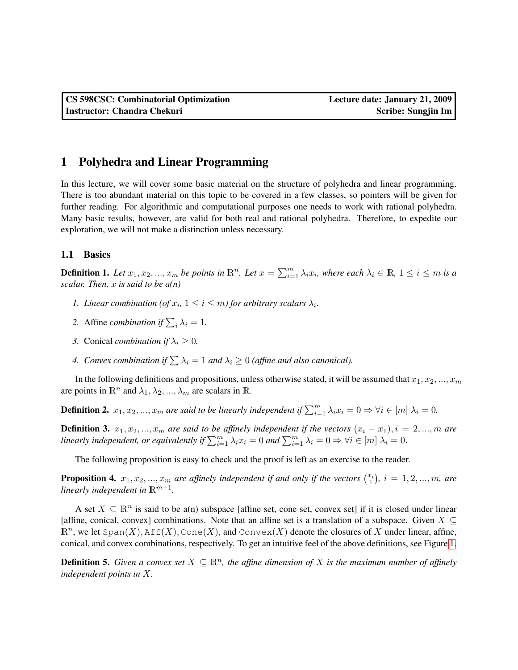## 1 Polyhedra and Linear Programming

In this lecture, we will cover some basic material on the structure of polyhedra and linear programming. There is too abundant material on this topic to be covered in a few classes, so pointers will be given for further reading. For algorithmic and computational purposes one needs to work with rational polyhedra. Many basic results, however, are valid for both real and rational polyhedra. Therefore, to expedite our exploration, we will not make a distinction unless necessary.

## 1.1 Basics

**Definition 1.** Let  $x_1, x_2, ..., x_m$  be points in  $\mathbb{R}^n$ . Let  $x = \sum_{i=1}^m \lambda_i x_i$ , where each  $\lambda_i \in \mathbb{R}$ ,  $1 \le i \le m$  is a *scalar. Then,* x *is said to be a(n)*

- *1. Linear combination* (*of*  $x_i$ ,  $1 \leq i \leq m$ *) for arbitrary scalars*  $\lambda_i$ *.*
- 2. Affine *combination* if  $\sum_i \lambda_i = 1$ .
- *3.* Conical *combination if*  $\lambda_i \geq 0$ *.*
- *4. Convex combination if*  $\sum \lambda_i = 1$  *and*  $\lambda_i \geq 0$  *(affine and also canonical).*

In the following definitions and propositions, unless otherwise stated, it will be assumed that  $x_1, x_2, ..., x_m$ are points in  $\mathbb{R}^n$  and  $\lambda_1, \lambda_2, ..., \lambda_m$  are scalars in  $\mathbb{R}$ .

**Definition 2.**  $x_1, x_2, ..., x_m$  are said to be linearly independent if  $\sum_{i=1}^m \lambda_i x_i = 0 \Rightarrow \forall i \in [m] \lambda_i = 0$ .

**Definition 3.**  $x_1, x_2, ..., x_m$  are said to be affinely independent if the vectors  $(x_i - x_1), i = 2, ..., m$  are *linearly independent, or equivalently if*  $\sum_{i=1}^{m} \lambda_i x_i = 0$  and  $\sum_{i=1}^{m} \lambda_i = 0 \Rightarrow \forall i \in [m]$   $\lambda_i = 0$ .

The following proposition is easy to check and the proof is left as an exercise to the reader.

**Proposition 4.**  $x_1, x_2, ..., x_m$  are affinely independent if and only if the vectors  $\binom{x_i}{1}$ ,  $i = 1, 2, ..., m$ , are *linearly independent in*  $\mathbb{R}^{m+1}$ *.* 

A set  $X \subseteq \mathbb{R}^n$  is said to be a(n) subspace [affine set, cone set, convex set] if it is closed under linear [affine, conical, convex] combinations. Note that an affine set is a translation of a subspace. Given  $X \subseteq$  $\mathbb{R}^n$ , we let Span $(X)$ , Aff $(X)$ , Cone $(X)$ , and Convex $(X)$  denote the closures of X under linear, affine, conical, and convex combinations, respectively. To get an intuitive feel of the above definitions, see Figure [1.](#page-1-0)

**Definition 5.** Given a convex set  $X \subseteq \mathbb{R}^n$ , the affine dimension of X is the maximum number of affinely *independent points in* X*.*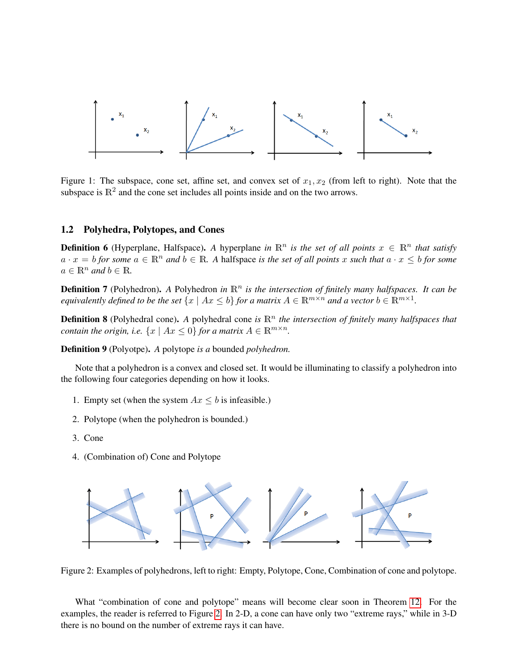

<span id="page-1-0"></span>Figure 1: The subspace, cone set, affine set, and convex set of  $x_1, x_2$  (from left to right). Note that the subspace is  $\mathbb{R}^2$  and the cone set includes all points inside and on the two arrows.

#### 1.2 Polyhedra, Polytopes, and Cones

**Definition 6** (Hyperplane, Halfspace). A hyperplane *in*  $\mathbb{R}^n$  *is the set of all points*  $x \in \mathbb{R}^n$  *that satisfy*  $a \cdot x = b$  *for some*  $a \in \mathbb{R}^n$  *and*  $b \in \mathbb{R}$ *. A* halfspace *is the set of all points* x *such that*  $a \cdot x \leq b$  *for some*  $a \in \mathbb{R}^n$  *and*  $b \in \mathbb{R}$ *.* 

Definition 7 (Polyhedron). A Polyhedron *in*  $\mathbb{R}^n$  *is the intersection of finitely many halfspaces. It can be equivalently defined to be the set*  $\{x \mid Ax \leq b\}$  *for a matrix*  $A \in \mathbb{R}^{m \times n}$  *and a vector*  $b \in \mathbb{R}^{m \times 1}$ *.* 

**Definition 8** (Polyhedral cone). A polyhedral cone *is*  $\mathbb{R}^n$  the intersection of finitely many halfspaces that *contain the origin, i.e.*  $\{x \mid Ax \leq 0\}$  *for a matrix*  $A \in \mathbb{R}^{m \times n}$ *.* 

Definition 9 (Polyotpe). *A* polytope *is a* bounded *polyhedron.*

Note that a polyhedron is a convex and closed set. It would be illuminating to classify a polyhedron into the following four categories depending on how it looks.

- 1. Empty set (when the system  $Ax \leq b$  is infeasible.)
- 2. Polytope (when the polyhedron is bounded.)
- 3. Cone
- 4. (Combination of) Cone and Polytope



<span id="page-1-1"></span>Figure 2: Examples of polyhedrons, left to right: Empty, Polytope, Cone, Combination of cone and polytope.

What "combination of cone and polytope" means will become clear soon in Theorem [12.](#page-2-0) For the examples, the reader is referred to Figure [2.](#page-1-1) In 2-D, a cone can have only two "extreme rays," while in 3-D there is no bound on the number of extreme rays it can have.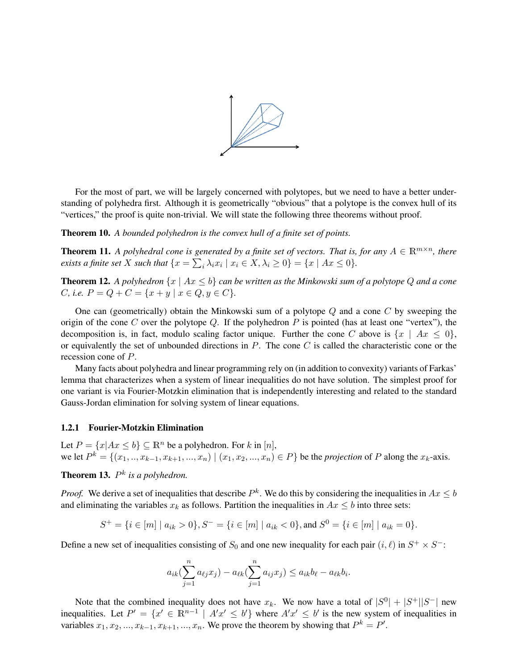

For the most of part, we will be largely concerned with polytopes, but we need to have a better understanding of polyhedra first. Although it is geometrically "obvious" that a polytope is the convex hull of its "vertices," the proof is quite non-trivial. We will state the following three theorems without proof.

Theorem 10. *A bounded polyhedron is the convex hull of a finite set of points.*

**Theorem 11.** A polyhedral cone is generated by a finite set of vectors. That is, for any  $A \in \mathbb{R}^{m \times n}$ , there *exists a finite set* X *such that*  $\{x = \sum_i \lambda_i x_i \mid x_i \in X, \lambda_i \ge 0\} = \{x \mid Ax \le 0\}.$ 

<span id="page-2-0"></span>**Theorem 12.** A polyhedron  $\{x \mid Ax \leq b\}$  can be written as the Minkowski sum of a polytope Q and a cone *C*, *i.e.*  $P = Q + C = \{x + y \mid x \in Q, y \in C\}.$ 

One can (geometrically) obtain the Minkowski sum of a polytope  $Q$  and a cone  $C$  by sweeping the origin of the cone C over the polytope Q. If the polyhedron P is pointed (has at least one "vertex"), the decomposition is, in fact, modulo scaling factor unique. Further the cone C above is  $\{x \mid Ax \leq 0\}$ , or equivalently the set of unbounded directions in  $P$ . The cone  $C$  is called the characteristic cone or the recession cone of P.

Many facts about polyhedra and linear programming rely on (in addition to convexity) variants of Farkas' lemma that characterizes when a system of linear inequalities do not have solution. The simplest proof for one variant is via Fourier-Motzkin elimination that is independently interesting and related to the standard Gauss-Jordan elimination for solving system of linear equations.

#### 1.2.1 Fourier-Motzkin Elimination

Let  $P = \{x | Ax \leq b\} \subseteq \mathbb{R}^n$  be a polyhedron. For k in [n], we let  $P^k = \{(x_1, ..., x_{k-1}, x_{k+1}, ..., x_n) \mid (x_1, x_2, ..., x_n) \in P\}$  be the *projection* of P along the  $x_k$ -axis.

**Theorem 13.**  $P^k$  is a polyhedron.

*Proof.* We derive a set of inequalities that describe  $P^k$ . We do this by considering the inequalities in  $Ax \leq b$ and eliminating the variables  $x_k$  as follows. Partition the inequalities in  $Ax \leq b$  into three sets:

$$
S^+ = \{i \in [m] \mid a_{ik} > 0\}, S^- = \{i \in [m] \mid a_{ik} < 0\}, \text{and } S^0 = \{i \in [m] \mid a_{ik} = 0\}.
$$

Define a new set of inequalities consisting of  $S_0$  and one new inequality for each pair  $(i, \ell)$  in  $S^+ \times S^-$ :

$$
a_{ik}(\sum_{j=1}^n a_{\ell j} x_j) - a_{\ell k}(\sum_{j=1}^n a_{ij} x_j) \le a_{ik} b_{\ell} - a_{\ell k} b_i.
$$

Note that the combined inequality does not have  $x_k$ . We now have a total of  $|S^0| + |S^+||S^-|$  new inequalities. Let  $P' = \{x' \in \mathbb{R}^{n-1} \mid A'x' \leq b'\}$  where  $A'x' \leq b'$  is the new system of inequalities in variables  $x_1, x_2, ..., x_{k-1}, x_{k+1}, ..., x_n$ . We prove the theorem by showing that  $P^k = P'$ .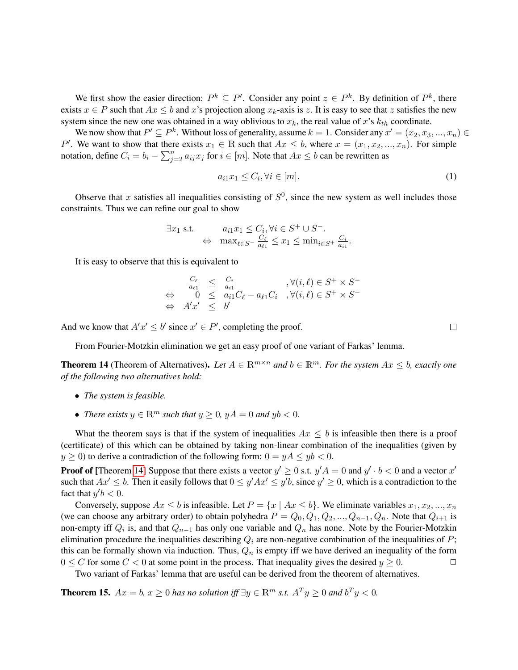We first show the easier direction:  $P^k \subseteq P'$ . Consider any point  $z \in P^k$ . By definition of  $P^k$ , there exists  $x \in P$  such that  $Ax \leq b$  and x's projection along  $x_k$ -axis is z. It is easy to see that z satisfies the new system since the new one was obtained in a way oblivious to  $x_k$ , the real value of x's  $k_{th}$  coordinate.

We now show that  $P' \subseteq P^k$ . Without loss of generality, assume  $k = 1$ . Consider any  $x' = (x_2, x_3, ..., x_n) \in$ P'. We want to show that there exists  $x_1 \in \mathbb{R}$  such that  $Ax \leq b$ , where  $x = (x_1, x_2, ..., x_n)$ . For simple notation, define  $C_i = b_i - \sum_{j=2}^n a_{ij} x_j$  for  $i \in [m]$ . Note that  $Ax \leq b$  can be rewritten as

$$
a_{i1}x_1 \le C_i, \forall i \in [m].\tag{1}
$$

Observe that x satisfies all inequalities consisting of  $S^0$ , since the new system as well includes those constraints. Thus we can refine our goal to show

$$
\exists x_1 \text{ s.t. } a_{i1}x_1 \le C_i, \forall i \in S^+ \cup S^-.
$$
  

$$
\Leftrightarrow \max_{\ell \in S^-} \frac{C_{\ell}}{a_{\ell 1}} \le x_1 \le \min_{i \in S^+} \frac{C_i}{a_{i1}}.
$$

It is easy to observe that this is equivalent to

$$
\begin{array}{rcl}\n\frac{C_{\ell}}{a_{\ell 1}} & \leq & \frac{C_{i}}{a_{i1}} \\
\Leftrightarrow & 0 \leq & a_{i1}C_{\ell} - a_{\ell 1}C_{i} \quad, \forall (i,\ell) \in S^{+} \times S^{-} \\
\Leftrightarrow & A'x' \leq & b'\n\end{array}
$$

And we know that  $A'x' \leq b'$  since  $x' \in P'$ , completing the proof.

From Fourier-Motzkin elimination we get an easy proof of one variant of Farkas' lemma.

<span id="page-3-0"></span>**Theorem 14** (Theorem of Alternatives). Let  $A \in \mathbb{R}^{m \times n}$  and  $b \in \mathbb{R}^m$ . For the system  $Ax \leq b$ , exactly one *of the following two alternatives hold:*

- *The system is feasible.*
- *There exists*  $y \in \mathbb{R}^m$  *such that*  $y \geq 0$ *,*  $yA = 0$  *and*  $yb < 0$ *.*

What the theorem says is that if the system of inequalities  $Ax < b$  is infeasible then there is a proof (certificate) of this which can be obtained by taking non-linear combination of the inequalities (given by  $y \ge 0$ ) to derive a contradiction of the following form:  $0 = yA \le yb < 0$ .

**Proof of** [Theorem [14\]](#page-3-0) Suppose that there exists a vector  $y' \ge 0$  s.t.  $y'A = 0$  and  $y' \cdot b < 0$  and a vector  $x'$ such that  $Ax' \leq b$ . Then it easily follows that  $0 \leq y'Ax' \leq y'b$ , since  $y' \geq 0$ , which is a contradiction to the fact that  $y'b < 0$ .

Conversely, suppose  $Ax \leq b$  is infeasible. Let  $P = \{x \mid Ax \leq b\}$ . We eliminate variables  $x_1, x_2, ..., x_n$ (we can choose any arbitrary order) to obtain polyhedra  $P = Q_0, Q_1, Q_2, ..., Q_{n-1}, Q_n$ . Note that  $Q_{i+1}$  is non-empty iff  $Q_i$  is, and that  $Q_{n-1}$  has only one variable and  $Q_n$  has none. Note by the Fourier-Motzkin elimination procedure the inequalities describing  $Q_i$  are non-negative combination of the inequalities of  $P$ ; this can be formally shown via induction. Thus,  $Q_n$  is empty iff we have derived an inequality of the form  $0 \le C$  for some  $C < 0$  at some point in the process. That inequality gives the desired  $y \ge 0$ .

Two variant of Farkas' lemma that are useful can be derived from the theorem of alternatives.

<span id="page-3-1"></span>**Theorem 15.**  $Ax = b$ ,  $x \ge 0$  *has no solution iff*  $\exists y \in \mathbb{R}^m$  *s.t.*  $A^T y \ge 0$  *and*  $b^T y < 0$ *.* 

 $\Box$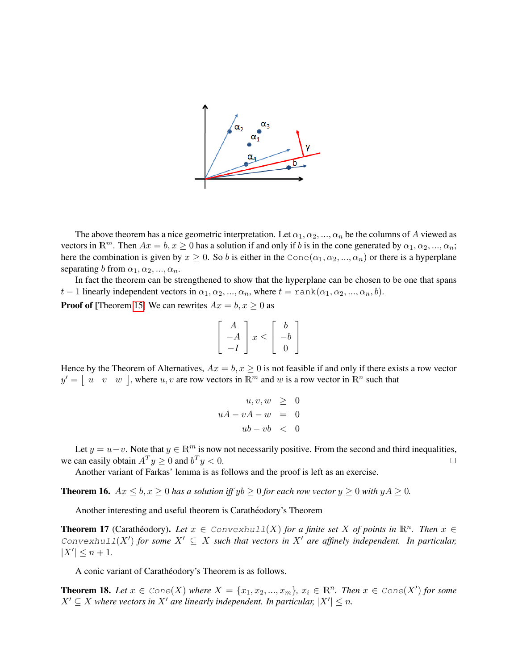

The above theorem has a nice geometric interpretation. Let  $\alpha_1, \alpha_2, ..., \alpha_n$  be the columns of A viewed as vectors in  $\mathbb{R}^m$ . Then  $Ax = b, x \ge 0$  has a solution if and only if b is in the cone generated by  $\alpha_1, \alpha_2, ..., \alpha_n$ ; here the combination is given by  $x \ge 0$ . So b is either in the Cone $(\alpha_1, \alpha_2, ..., \alpha_n)$  or there is a hyperplane separating b from  $\alpha_1, \alpha_2, ..., \alpha_n$ .

In fact the theorem can be strengthened to show that the hyperplane can be chosen to be one that spans t − 1 linearly independent vectors in  $\alpha_1, \alpha_2, ..., \alpha_n$ , where  $t = \text{rank}(\alpha_1, \alpha_2, ..., \alpha_n, b)$ .

**Proof of** [Theorem [15\]](#page-3-1) We can rewrites  $Ax = b, x \ge 0$  as

$$
\begin{bmatrix} A \\ -A \\ -I \end{bmatrix} x \le \begin{bmatrix} b \\ -b \\ 0 \end{bmatrix}
$$

Hence by the Theorem of Alternatives,  $Ax = b, x \ge 0$  is not feasible if and only if there exists a row vector  $y' = \begin{bmatrix} u & v & w \end{bmatrix}$ , where  $u, v$  are row vectors in  $\mathbb{R}^m$  and w is a row vector in  $\mathbb{R}^n$  such that

$$
u, v, w \geq 0
$$
  

$$
uA - vA - w = 0
$$
  

$$
ub - vb < 0
$$

Let  $y = u - v$ . Note that  $y \in \mathbb{R}^m$  is now not necessarily positive. From the second and third inequalities, we can easily obtain  $A^T y \ge 0$  and  $b^T y < 0$ .

Another variant of Farkas' lemma is as follows and the proof is left as an exercise.

**Theorem 16.**  $Ax \leq b, x \geq 0$  *has a solution iff*  $yb \geq 0$  *for each row vector*  $y \geq 0$  *with*  $yA \geq 0$ *.* 

Another interesting and useful theorem is Carathéodory's Theorem

**Theorem 17** (Carathéodory). Let  $x \in \text{Convexhull}(X)$  for a finite set X of points in  $\mathbb{R}^n$ . Then  $x \in \text{Convexhull}(X)$ Convexhull(X') for some  $X' \subseteq X$  such that vectors in  $X'$  are affinely independent. In particular,  $|X'| \leq n + 1$ .

A conic variant of Carathéodory's Theorem is as follows.

**Theorem 18.** Let  $x \in \text{Cone}(X)$  where  $X = \{x_1, x_2, ..., x_m\}$ ,  $x_i \in \mathbb{R}^n$ . Then  $x \in \text{Cone}(X')$  for some  $X' \subseteq X$  where vectors in  $X'$  are linearly independent. In particular,  $|X'| \leq n$ .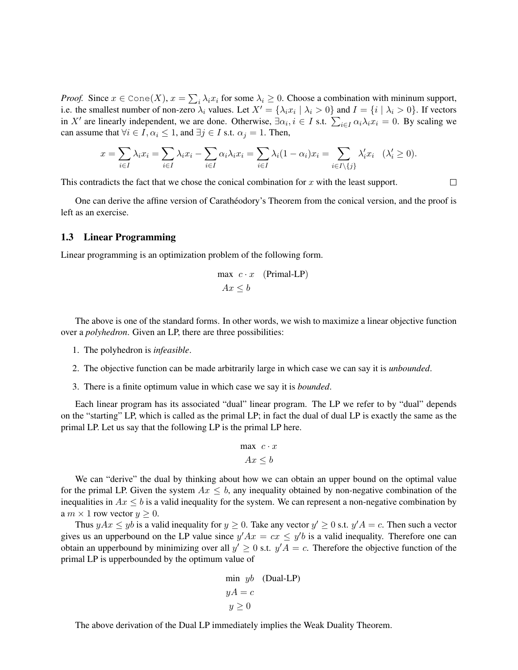*Proof.* Since  $x \in \text{Cone}(X)$ ,  $x = \sum_i \lambda_i x_i$  for some  $\lambda_i \geq 0$ . Choose a combination with mininum support, i.e. the smallest number of non-zero  $\lambda_i$  values. Let  $X' = {\lambda_i x_i | \lambda_i > 0}$  and  $I = {i | \lambda_i > 0}$ . If vectors in X' are linearly independent, we are done. Otherwise,  $\exists \alpha_i, i \in I$  s.t.  $\sum_{i \in I} \alpha_i \lambda_i x_i = 0$ . By scaling we can assume that  $\forall i \in I, \alpha_i \leq 1$ , and  $\exists j \in I$  s.t.  $\alpha_j = 1$ . Then,

$$
x = \sum_{i \in I} \lambda_i x_i = \sum_{i \in I} \lambda_i x_i - \sum_{i \in I} \alpha_i \lambda_i x_i = \sum_{i \in I} \lambda_i (1 - \alpha_i) x_i = \sum_{i \in I \setminus \{j\}} \lambda'_i x_i \quad (\lambda'_i \ge 0).
$$

 $\Box$ 

This contradicts the fact that we chose the conical combination for  $x$  with the least support.

One can derive the affine version of Caratheodory's Theorem from the conical version, and the proof is left as an exercise.

### 1.3 Linear Programming

Linear programming is an optimization problem of the following form.

$$
\max c \cdot x \quad (\text{Primal-LP})
$$

$$
Ax \le b
$$

The above is one of the standard forms. In other words, we wish to maximize a linear objective function over a *polyhedron*. Given an LP, there are three possibilities:

- 1. The polyhedron is *infeasible*.
- 2. The objective function can be made arbitrarily large in which case we can say it is *unbounded*.
- 3. There is a finite optimum value in which case we say it is *bounded*.

Each linear program has its associated "dual" linear program. The LP we refer to by "dual" depends on the "starting" LP, which is called as the primal LP; in fact the dual of dual LP is exactly the same as the primal LP. Let us say that the following LP is the primal LP here.

$$
\max \ c \cdot x
$$

$$
Ax \le b
$$

We can "derive" the dual by thinking about how we can obtain an upper bound on the optimal value for the primal LP. Given the system  $Ax \leq b$ , any inequality obtained by non-negative combination of the inequalities in  $Ax \leq b$  is a valid inequality for the system. We can represent a non-negative combination by a  $m \times 1$  row vector  $y \geq 0$ .

Thus  $yAx \le yb$  is a valid inequality for  $y \ge 0$ . Take any vector  $y' \ge 0$  s.t.  $y'A = c$ . Then such a vector gives us an upperbound on the LP value since  $y'Ax = cx \leq y'b$  is a valid inequality. Therefore one can obtain an upperbound by minimizing over all  $y' \geq 0$  s.t.  $y'A = c$ . Therefore the objective function of the primal LP is upperbounded by the optimum value of

$$
\min yb \quad \text{(Dual-LP)}
$$

$$
yA = c
$$

$$
y \ge 0
$$

The above derivation of the Dual LP immediately implies the Weak Duality Theorem.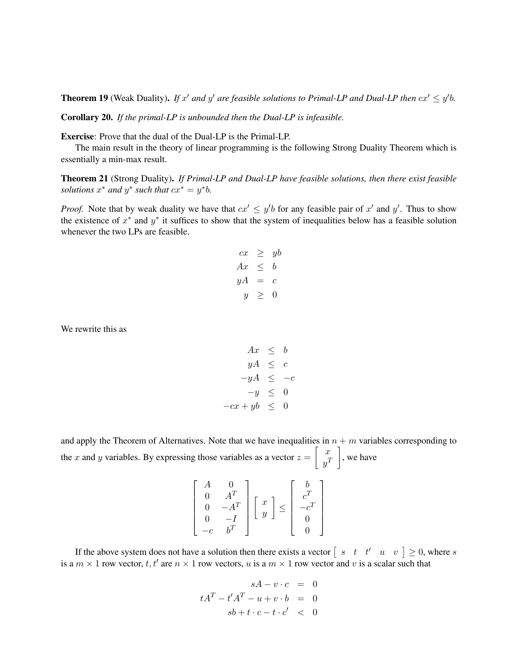**Theorem 19** (Weak Duality). If x' and y' are feasible solutions to Primal-LP and Dual-LP then  $cx' \leq y'b$ .

Corollary 20. *If the primal-LP is unbounded then the Dual-LP is infeasible.*

Exercise: Prove that the dual of the Dual-LP is the Primal-LP.

The main result in the theory of linear programming is the following Strong Duality Theorem which is essentially a min-max result.

Theorem 21 (Strong Duality). *If Primal-LP and Dual-LP have feasible solutions, then there exist feasible solutions*  $x^*$  *and*  $y^*$  *such that*  $cx^* = y^*b$ *.* 

*Proof.* Note that by weak duality we have that  $cx' \leq y'b$  for any feasible pair of x' and y'. Thus to show the existence of  $x^*$  and  $y^*$  it suffices to show that the system of inequalities below has a feasible solution whenever the two LPs are feasible.

$$
cx \geq yb
$$
  
\n
$$
Ax \leq b
$$
  
\n
$$
yA = c
$$
  
\n
$$
y \geq 0
$$

We rewrite this as

$$
Ax \leq b
$$
  
\n
$$
yA \leq c
$$
  
\n
$$
-yA \leq -c
$$
  
\n
$$
-y \leq 0
$$
  
\n
$$
-cx + yb \leq 0
$$

and apply the Theorem of Alternatives. Note that we have inequalities in  $n + m$  variables corresponding to the x and y variables. By expressing those variables as a vector  $z = \begin{bmatrix} x \\ y \end{bmatrix}$  $y^T$  $\Big]$ , we have

|  |  |  |  | $\begin{array}{c} x \\ y \end{array}$<br>$\leq$ |  |
|--|--|--|--|-------------------------------------------------|--|
|--|--|--|--|-------------------------------------------------|--|

If the above system does not have a solution then there exists a vector  $\begin{bmatrix} s & t & t' & u & v \end{bmatrix} \geq 0$ , where s is a  $m \times 1$  row vector, t, t' are  $n \times 1$  row vectors, u is a  $m \times 1$  row vector and v is a scalar such that

$$
sA - v \cdot c = 0
$$
  

$$
tAT - t'AT - u + v \cdot b = 0
$$
  

$$
sb + t \cdot c - t \cdot c' < 0
$$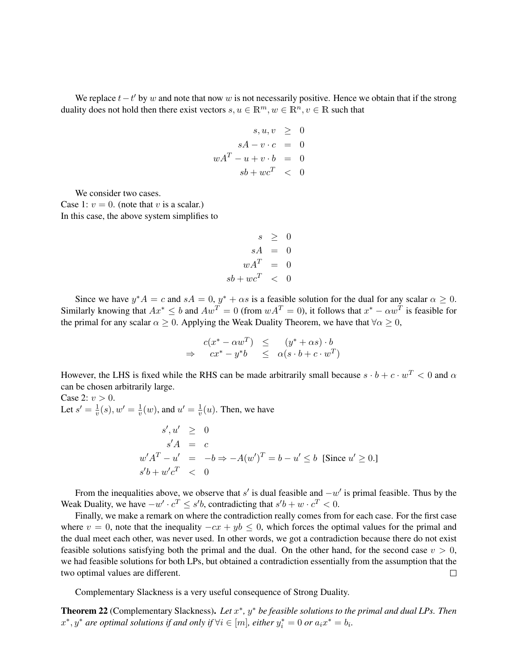We replace  $t-t'$  by w and note that now w is not necessarily positive. Hence we obtain that if the strong duality does not hold then there exist vectors  $s, u \in \mathbb{R}^m, w \in \mathbb{R}^n, v \in \mathbb{R}$  such that

$$
s, u, v \geq 0
$$

$$
sA - v \cdot c = 0
$$

$$
wAT - u + v \cdot b = 0
$$

$$
s b + w cT < 0
$$

We consider two cases.

Case 1:  $v = 0$ . (note that v is a scalar.) In this case, the above system simplifies to

$$
s \geq 0
$$
  
\n
$$
sA = 0
$$
  
\n
$$
wA^{T} = 0
$$
  
\n
$$
sb + wc^{T} < 0
$$

Since we have  $y^*A = c$  and  $sA = 0$ ,  $y^* + \alpha s$  is a feasible solution for the dual for any scalar  $\alpha \ge 0$ . Similarly knowing that  $Ax^* \le b$  and  $Aw^T = 0$  (from  $wA^T = 0$ ), it follows that  $x^* - \alpha w^T$  is feasible for the primal for any scalar  $\alpha \geq 0$ . Applying the Weak Duality Theorem, we have that  $\forall \alpha \geq 0$ ,

$$
\begin{array}{rcl}\nc(x^* - \alpha w^T) & \leq & (y^* + \alpha s) \cdot b \\
\Rightarrow & cx^* - y^*b & \leq & \alpha(s \cdot b + c \cdot w^T)\n\end{array}
$$

However, the LHS is fixed while the RHS can be made arbitrarily small because  $s \cdot b + c \cdot w^T < 0$  and  $\alpha$ can be chosen arbitrarily large.

Case 2:  $v > 0$ . Let  $s' = \frac{1}{v}$  $\frac{1}{v}(s), w' = \frac{1}{v}$  $\frac{1}{v}(w)$ , and  $u' = \frac{1}{v}$  $\frac{1}{v}(u)$ . Then, we have  $s', u' \geq 0$  $s'A = c$  $w' A^T - u' = -b \Rightarrow -A(w')^T = b - u' \le b$  [Since  $u' \ge 0$ .]  $s'b + w'c^T < 0$ 

From the inequalities above, we observe that s' is dual feasible and  $-w'$  is primal feasible. Thus by the Weak Duality, we have  $-w' \cdot c^T \le s'b$ , contradicting that  $s'b + w \cdot c^T < 0$ .

Finally, we make a remark on where the contradiction really comes from for each case. For the first case where  $v = 0$ , note that the inequality  $-cx + yb \leq 0$ , which forces the optimal values for the primal and the dual meet each other, was never used. In other words, we got a contradiction because there do not exist feasible solutions satisfying both the primal and the dual. On the other hand, for the second case  $v > 0$ , we had feasible solutions for both LPs, but obtained a contradiction essentially from the assumption that the two optimal values are different.  $\Box$ 

Complementary Slackness is a very useful consequence of Strong Duality.

Theorem 22 (Complementary Slackness). Let  $x^*$ ,  $y^*$  be feasible solutions to the primal and dual LPs. Then  $x^*, y^*$  are optimal solutions if and only if  $\forall i \in [m]$ , either  $y_i^* = 0$  or  $a_i x^* = b_i$ .